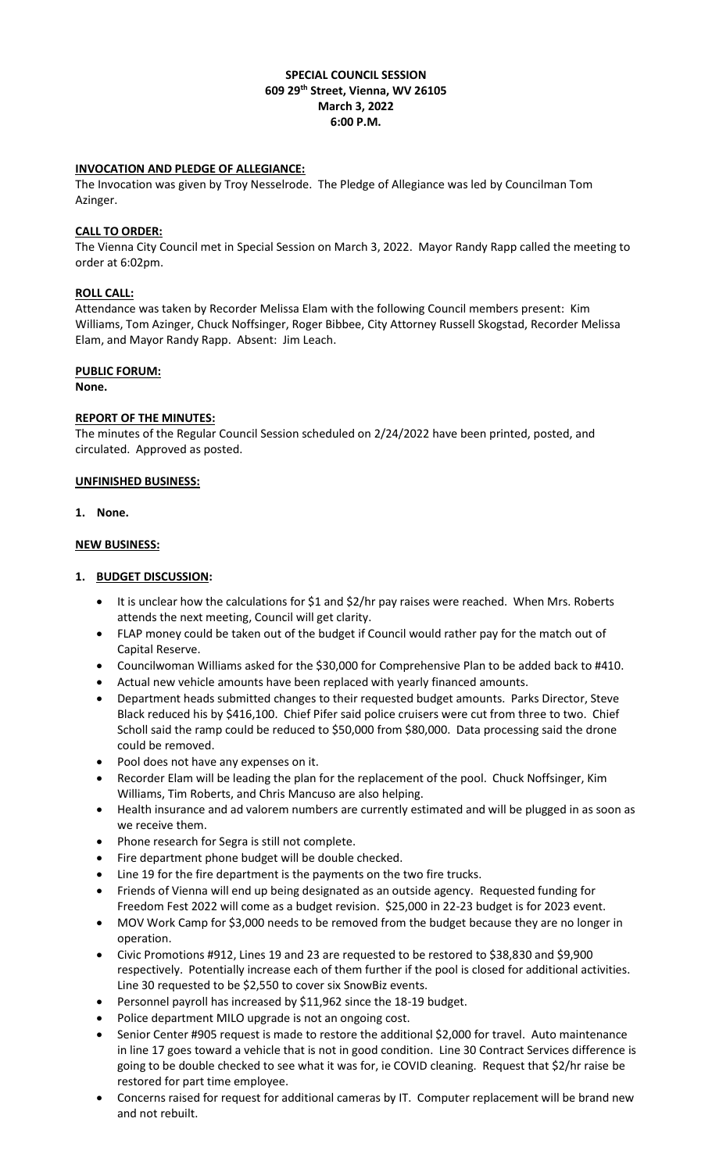# **SPECIAL COUNCIL SESSION 609 29th Street, Vienna, WV 26105 March 3, 2022 6:00 P.M.**

# **INVOCATION AND PLEDGE OF ALLEGIANCE:**

The Invocation was given by Troy Nesselrode. The Pledge of Allegiance was led by Councilman Tom Azinger.

# **CALL TO ORDER:**

The Vienna City Council met in Special Session on March 3, 2022. Mayor Randy Rapp called the meeting to order at 6:02pm.

# **ROLL CALL:**

Attendance was taken by Recorder Melissa Elam with the following Council members present: Kim Williams, Tom Azinger, Chuck Noffsinger, Roger Bibbee, City Attorney Russell Skogstad, Recorder Melissa Elam, and Mayor Randy Rapp. Absent: Jim Leach.

# **PUBLIC FORUM:**

**None.** 

# **REPORT OF THE MINUTES:**

The minutes of the Regular Council Session scheduled on 2/24/2022 have been printed, posted, and circulated. Approved as posted.

### **UNFINISHED BUSINESS:**

# **1. None.**

# **NEW BUSINESS:**

# **1. BUDGET DISCUSSION:**

- It is unclear how the calculations for \$1 and \$2/hr pay raises were reached. When Mrs. Roberts attends the next meeting, Council will get clarity.
- FLAP money could be taken out of the budget if Council would rather pay for the match out of Capital Reserve.
- Councilwoman Williams asked for the \$30,000 for Comprehensive Plan to be added back to #410.
- Actual new vehicle amounts have been replaced with yearly financed amounts.
- Department heads submitted changes to their requested budget amounts. Parks Director, Steve Black reduced his by \$416,100. Chief Pifer said police cruisers were cut from three to two. Chief Scholl said the ramp could be reduced to \$50,000 from \$80,000. Data processing said the drone could be removed.
- Pool does not have any expenses on it.
- Recorder Elam will be leading the plan for the replacement of the pool. Chuck Noffsinger, Kim Williams, Tim Roberts, and Chris Mancuso are also helping.
- Health insurance and ad valorem numbers are currently estimated and will be plugged in as soon as we receive them.
- Phone research for Segra is still not complete.
- Fire department phone budget will be double checked.
- Line 19 for the fire department is the payments on the two fire trucks.
- Friends of Vienna will end up being designated as an outside agency. Requested funding for Freedom Fest 2022 will come as a budget revision. \$25,000 in 22-23 budget is for 2023 event.
- MOV Work Camp for \$3,000 needs to be removed from the budget because they are no longer in operation.
- Civic Promotions #912, Lines 19 and 23 are requested to be restored to \$38,830 and \$9,900 respectively. Potentially increase each of them further if the pool is closed for additional activities. Line 30 requested to be \$2,550 to cover six SnowBiz events.
- Personnel payroll has increased by \$11,962 since the 18-19 budget.
- Police department MILO upgrade is not an ongoing cost.
- Senior Center #905 request is made to restore the additional \$2,000 for travel. Auto maintenance in line 17 goes toward a vehicle that is not in good condition. Line 30 Contract Services difference is going to be double checked to see what it was for, ie COVID cleaning. Request that \$2/hr raise be restored for part time employee.
- Concerns raised for request for additional cameras by IT. Computer replacement will be brand new and not rebuilt.